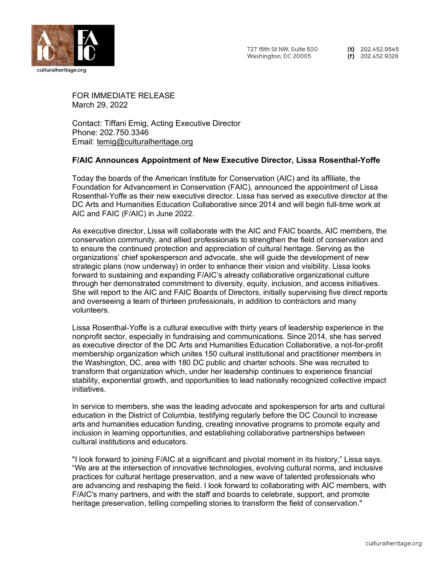

(t)  $202.452.9545$  $(f)$  202.452.9328

FOR IMMEDIATE RELEASE March 29, 2022

Contact: Tiffani Emig, Acting Executive Director Phone: 202.750.3346 Email: [temig@culturalheritage.org](mailto:temig@culturalheritage.org)

## **F/AIC Announces Appointment of New Executive Director, Lissa Rosenthal-Yoffe**

Today the boards of the American Institute for Conservation (AIC) and its affiliate, the Foundation for Advancement in Conservation (FAIC), announced the appointment of Lissa Rosenthal-Yoffe as their new executive director. Lissa has served as executive director at the DC Arts and Humanities Education Collaborative since 2014 and will begin full-time work at AIC and FAIC (F/AIC) in June 2022.

As executive director, Lissa will collaborate with the AIC and FAIC boards, AIC members, the conservation community, and allied professionals to strengthen the field of conservation and to ensure the continued protection and appreciation of cultural heritage. Serving as the organizations' chief spokesperson and advocate, she will guide the development of new strategic plans (now underway) in order to enhance their vision and visibility. Lissa looks forward to sustaining and expanding F/AIC's already collaborative organizational culture through her demonstrated commitment to diversity, equity, inclusion, and access initiatives. She will report to the AIC and FAIC Boards of Directors, initially supervising five direct reports and overseeing a team of thirteen professionals, in addition to contractors and many volunteers.

Lissa Rosenthal-Yoffe is a cultural executive with thirty years of leadership experience in the nonprofit sector, especially in fundraising and communications. Since 2014, she has served as executive director of the DC Arts and Humanities Education Collaborative, a not-for-profit membership organization which unites 150 cultural institutional and practitioner members in the Washington, DC, area with 180 DC public and charter schools. She was recruited to transform that organization which, under her leadership continues to experience financial stability, exponential growth, and opportunities to lead nationally recognized collective impact initiatives.

In service to members, she was the leading advocate and spokesperson for arts and cultural education in the District of Columbia, testifying regularly before the DC Council to increase arts and humanities education funding, creating innovative programs to promote equity and inclusion in learning opportunities, and establishing collaborative partnerships between cultural institutions and educators.

"I look forward to joining F/AIC at a significant and pivotal moment in its history," Lissa says. "We are at the intersection of innovative technologies, evolving cultural norms, and inclusive practices for cultural heritage preservation, and a new wave of talented professionals who are advancing and reshaping the field. I look forward to collaborating with AIC members, with F/AIC's many partners, and with the staff and boards to celebrate, support, and promote heritage preservation, telling compelling stories to transform the field of conservation."